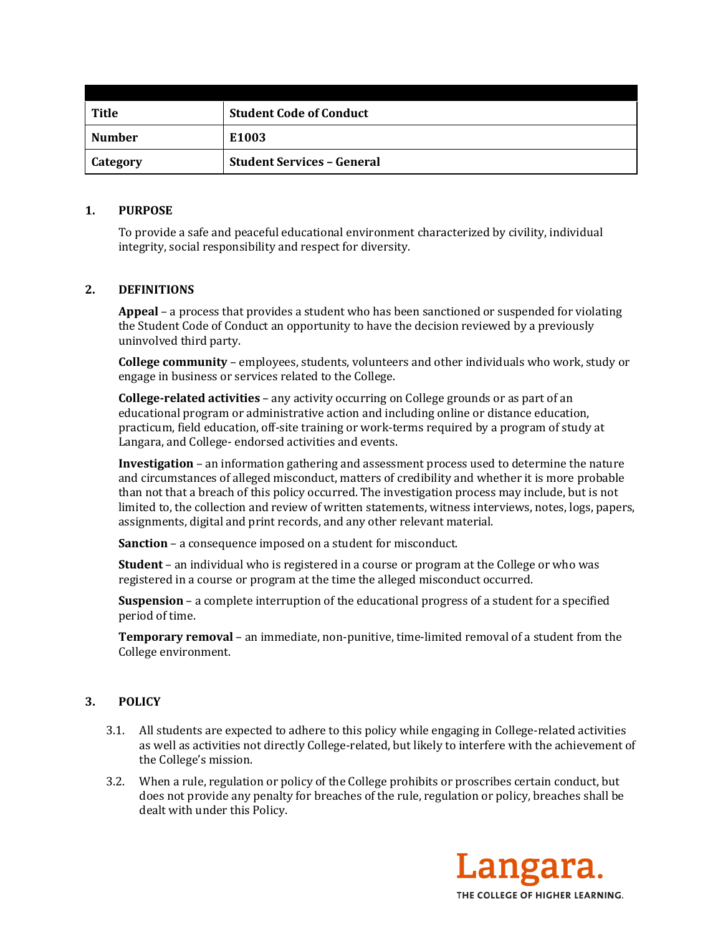| <b>Title</b>    | <b>Student Code of Conduct</b>    |
|-----------------|-----------------------------------|
| <b>Number</b>   | E1003                             |
| <b>Category</b> | <b>Student Services - General</b> |

### **1. PURPOSE**

To provide a safe and peaceful educational environment characterized by civility, individual integrity, social responsibility and respect for diversity.

## **2. DEFINITIONS**

**Appeal** – a process that provides a student who has been sanctioned or suspended for violating the Student Code of Conduct an opportunity to have the decision reviewed by a previously uninvolved third party.

**College community** – employees, students, volunteers and other individuals who work, study or engage in business or services related to the College.

**College-related activities** – any activity occurring on College grounds or as part of an educational program or administrative action and including online or distance education, practicum, field education, off-site training or work-terms required by a program of study at Langara, and College- endorsed activities and events.

**Investigation** – an information gathering and assessment process used to determine the nature and circumstances of alleged misconduct, matters of credibility and whether it is more probable than not that a breach of this policy occurred. The investigation process may include, but is not limited to, the collection and review of written statements, witness interviews, notes, logs, papers, assignments, digital and print records, and any other relevant material.

**Sanction** – a consequence imposed on a student for misconduct.

**Student** – an individual who is registered in a course or program at the College or who was registered in a course or program at the time the alleged misconduct occurred.

**Suspension** – a complete interruption of the educational progress of a student for a specified period of time.

**Temporary removal** – an immediate, non-punitive, time-limited removal of a student from the College environment.

### **3. POLICY**

- 3.1. All students are expected to adhere to this policy while engaging in College-related activities as well as activities not directly College-related, but likely to interfere with the achievement of the College's mission.
- 3.2. When a rule, regulation or policy of the College prohibits or proscribes certain conduct, but does not provide any penalty for breaches of the rule, regulation or policy, breaches shall be dealt with under this Policy.

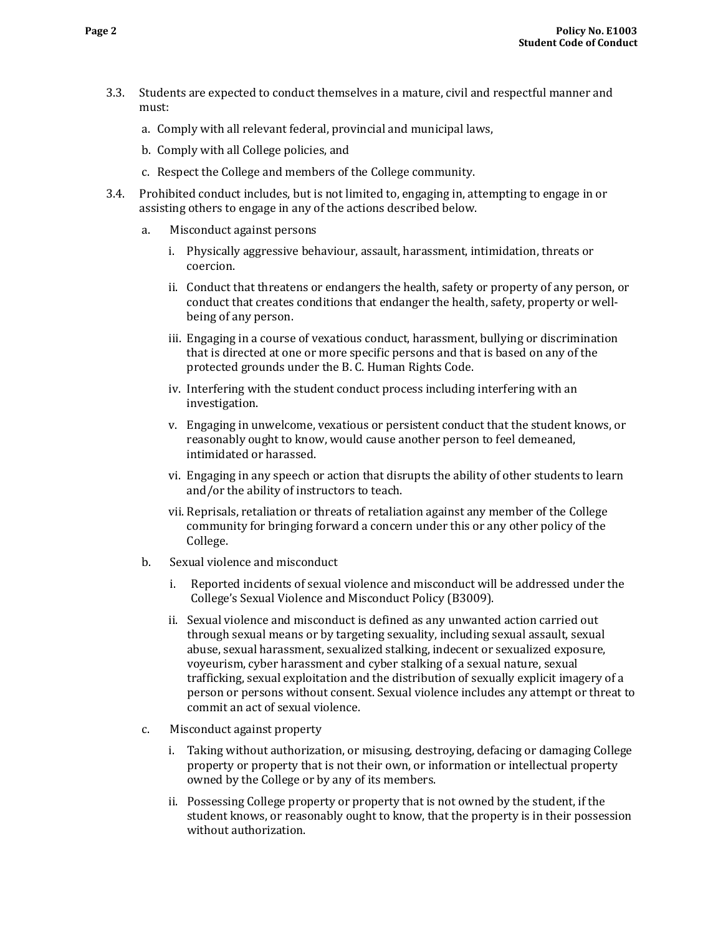- 3.3. Students are expected to conduct themselves in a mature, civil and respectful manner and must:
	- a. Comply with all relevant federal, provincial and municipal laws,
	- b. Comply with all College policies, and
	- c. Respect the College and members of the College community.
- 3.4. Prohibited conduct includes, but is not limited to, engaging in, attempting to engage in or assisting others to engage in any of the actions described below.
	- a. Misconduct against persons
		- i. Physically aggressive behaviour, assault, harassment, intimidation, threats or coercion.
		- ii. Conduct that threatens or endangers the health, safety or property of any person, or conduct that creates conditions that endanger the health, safety, property or wellbeing of any person.
		- iii. Engaging in a course of vexatious conduct, harassment, bullying or discrimination that is directed at one or more specific persons and that is based on any of the protected grounds under the B. C. Human Rights Code.
		- iv. Interfering with the student conduct process including interfering with an investigation.
		- v. Engaging in unwelcome, vexatious or persistent conduct that the student knows, or reasonably ought to know, would cause another person to feel demeaned, intimidated or harassed.
		- vi. Engaging in any speech or action that disrupts the ability of other students to learn and/or the ability of instructors to teach.
		- vii. Reprisals, retaliation or threats of retaliation against any member of the College community for bringing forward a concern under this or any other policy of the College.
	- b. Sexual violence and misconduct
		- i. Reported incidents of sexual violence and misconduct will be addressed under the College's Sexual Violence and Misconduct Policy (B3009).
		- ii. Sexual violence and misconduct is defined as any unwanted action carried out through sexual means or by targeting sexuality, including sexual assault, sexual abuse, sexual harassment, sexualized stalking, indecent or sexualized exposure, voyeurism, cyber harassment and cyber stalking of a sexual nature, sexual trafficking, sexual exploitation and the distribution of sexually explicit imagery of a person or persons without consent. Sexual violence includes any attempt or threat to commit an act of sexual violence.
	- c. Misconduct against property
		- i. Taking without authorization, or misusing, destroying, defacing or damaging College property or property that is not their own, or information or intellectual property owned by the College or by any of its members.
		- ii. Possessing College property or property that is not owned by the student, if the student knows, or reasonably ought to know, that the property is in their possession without authorization.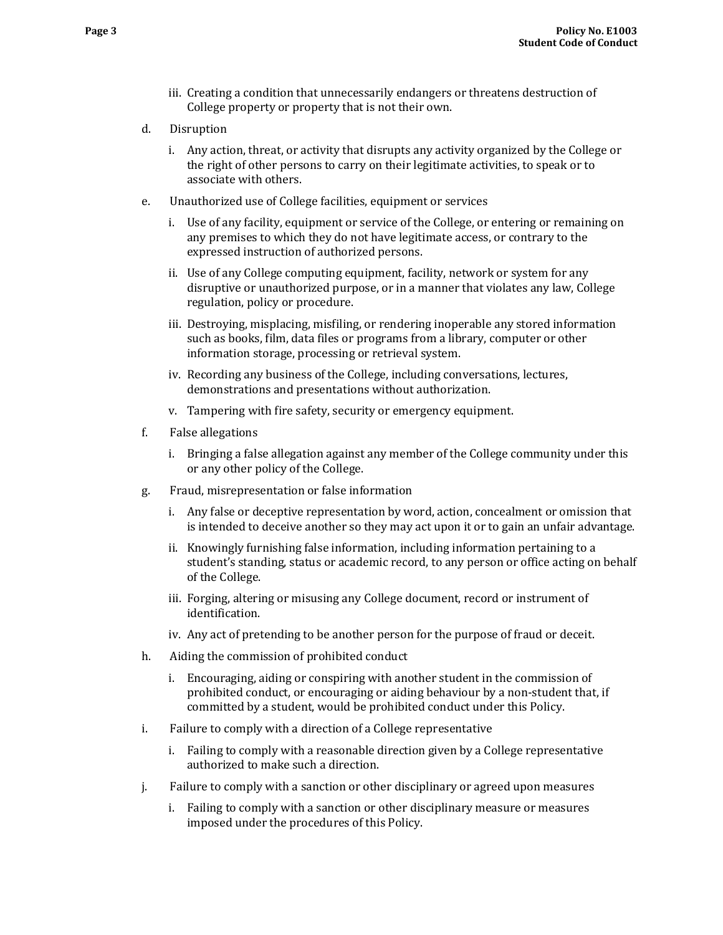- iii. Creating a condition that unnecessarily endangers or threatens destruction of College property or property that is not their own.
- d. Disruption
	- i. Any action, threat, or activity that disrupts any activity organized by the College or the right of other persons to carry on their legitimate activities, to speak or to associate with others.
- e. Unauthorized use of College facilities, equipment or services
	- i. Use of any facility, equipment or service of the College, or entering or remaining on any premises to which they do not have legitimate access, or contrary to the expressed instruction of authorized persons.
	- ii. Use of any College computing equipment, facility, network or system for any disruptive or unauthorized purpose, or in a manner that violates any law, College regulation, policy or procedure.
	- iii. Destroying, misplacing, misfiling, or rendering inoperable any stored information such as books, film, data files or programs from a library, computer or other information storage, processing or retrieval system.
	- iv. Recording any business of the College, including conversations, lectures, demonstrations and presentations without authorization.
	- v. Tampering with fire safety, security or emergency equipment.
- f. False allegations
	- i. Bringing a false allegation against any member of the College community under this or any other policy of the College.
- g. Fraud, misrepresentation or false information
	- i. Any false or deceptive representation by word, action, concealment or omission that is intended to deceive another so they may act upon it or to gain an unfair advantage.
	- ii. Knowingly furnishing false information, including information pertaining to a student's standing, status or academic record, to any person or office acting on behalf of the College.
	- iii. Forging, altering or misusing any College document, record or instrument of identification.
	- iv. Any act of pretending to be another person for the purpose of fraud or deceit.
- h. Aiding the commission of prohibited conduct
	- i. Encouraging, aiding or conspiring with another student in the commission of prohibited conduct, or encouraging or aiding behaviour by a non-student that, if committed by a student, would be prohibited conduct under this Policy.
- i. Failure to comply with a direction of a College representative
	- i. Failing to comply with a reasonable direction given by a College representative authorized to make such a direction.
- j. Failure to comply with a sanction or other disciplinary or agreed upon measures
	- i. Failing to comply with a sanction or other disciplinary measure or measures imposed under the procedures of this Policy.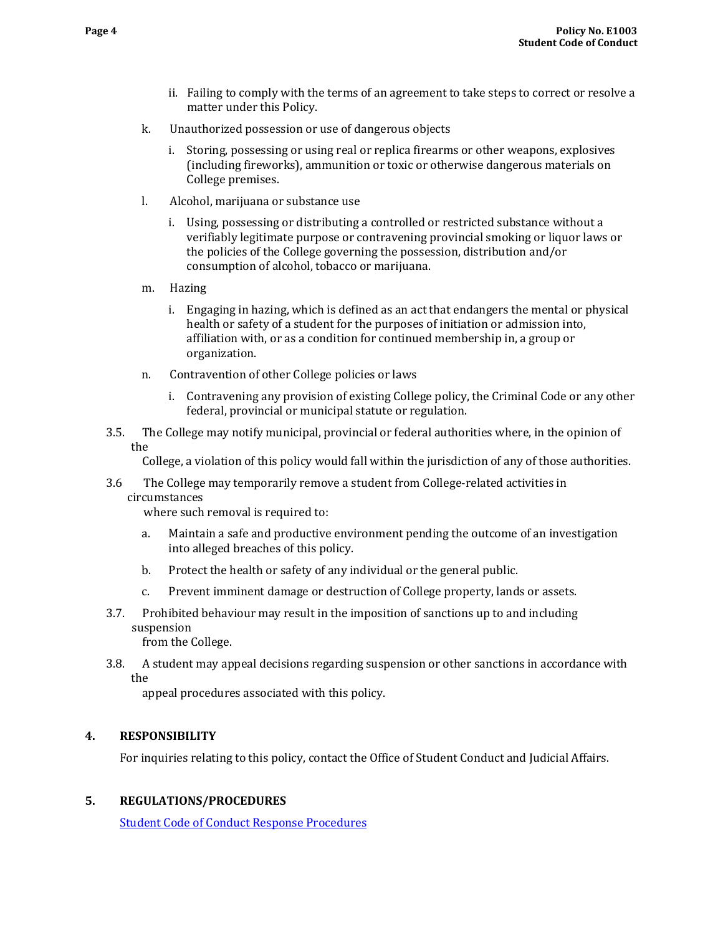- ii. Failing to comply with the terms of an agreement to take steps to correct or resolve a matter under this Policy.
- k. Unauthorized possession or use of dangerous objects
	- i. Storing, possessing or using real or replica firearms or other weapons, explosives (including fireworks), ammunition or toxic or otherwise dangerous materials on College premises.
- l. Alcohol, marijuana or substance use
	- i. Using, possessing or distributing a controlled or restricted substance without a verifiably legitimate purpose or contravening provincial smoking or liquor laws or the policies of the College governing the possession, distribution and/or consumption of alcohol, tobacco or marijuana.
- m. Hazing
	- i. Engaging in hazing, which is defined as an act that endangers the mental or physical health or safety of a student for the purposes of initiation or admission into, affiliation with, or as a condition for continued membership in, a group or organization.
- n. Contravention of other College policies or laws
	- i. Contravening any provision of existing College policy, the Criminal Code or any other federal, provincial or municipal statute or regulation.
- 3.5. The College may notify municipal, provincial or federal authorities where, in the opinion of the

College, a violation of this policy would fall within the jurisdiction of any of those authorities.

3.6 The College may temporarily remove a student from College-related activities in circumstances

where such removal is required to:

- a. Maintain a safe and productive environment pending the outcome of an investigation into alleged breaches of this policy.
- b. Protect the health or safety of any individual or the general public.
- c. Prevent imminent damage or destruction of College property, lands or assets.
- 3.7. Prohibited behaviour may result in the imposition of sanctions up to and including suspension

from the College.

3.8. A student may appeal decisions regarding suspension or other sanctions in accordance with the

appeal procedures associated with this policy.

# **4. RESPONSIBILITY**

For inquiries relating to this policy, contact the Office of Student Conduct and Judicial Affairs.

### **5. REGULATIONS/PROCEDURES**

[Student Code of Conduct Response Procedures](https://langara.ca/student-services/student-conduct-and-academic-integrity/student-conduct/conduct-procedures.html)